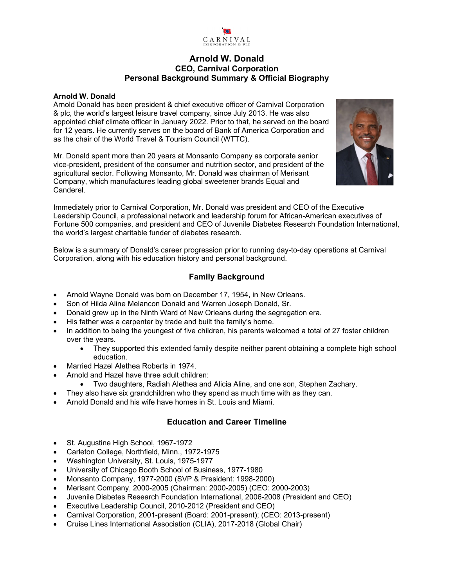

## **Arnold W. Donald CEO, Carnival Corporation Personal Background Summary & Official Biography**

#### **Arnold W. Donald**

Arnold Donald has been president & chief executive officer of Carnival Corporation & plc, the world's largest leisure travel company, since July 2013. He was also appointed chief climate officer in January 2022. Prior to that, he served on the board for 12 years. He currently serves on the board of Bank of America Corporation and as the chair of the World Travel & Tourism Council (WTTC).

Mr. Donald spent more than 20 years at Monsanto Company as corporate senior vice-president, president of the consumer and nutrition sector, and president of the agricultural sector. Following Monsanto, Mr. Donald was chairman of Merisant Company, which manufactures leading global sweetener brands Equal and Canderel.



Immediately prior to Carnival Corporation, Mr. Donald was president and CEO of the Executive Leadership Council, a professional network and leadership forum for African-American executives of Fortune 500 companies, and president and CEO of Juvenile Diabetes Research Foundation International, the world's largest charitable funder of diabetes research.

Below is a summary of Donald's career progression prior to running day-to-day operations at Carnival Corporation, along with his education history and personal background.

## **Family Background**

- Arnold Wayne Donald was born on December 17, 1954, in New Orleans.
- Son of Hilda Aline Melancon Donald and Warren Joseph Donald, Sr.
- Donald grew up in the Ninth Ward of New Orleans during the segregation era.
- His father was a carpenter by trade and built the family's home.
- In addition to being the youngest of five children, his parents welcomed a total of 27 foster children over the years.
	- They supported this extended family despite neither parent obtaining a complete high school education.
- Married Hazel Alethea Roberts in 1974.
- Arnold and Hazel have three adult children:
	- Two daughters, Radiah Alethea and Alicia Aline, and one son, Stephen Zachary.
- They also have six grandchildren who they spend as much time with as they can.
- Arnold Donald and his wife have homes in St. Louis and Miami.

## **Education and Career Timeline**

- St. Augustine High School, 1967-1972
- Carleton College, Northfield, Minn., 1972-1975
- Washington University, St. Louis, 1975-1977
- University of Chicago Booth School of Business, 1977-1980
- Monsanto Company, 1977-2000 (SVP & President: 1998-2000)
- Merisant Company, 2000-2005 (Chairman: 2000-2005) (CEO: 2000-2003)
- Juvenile Diabetes Research Foundation International, 2006-2008 (President and CEO)
- Executive Leadership Council, 2010-2012 (President and CEO)
- Carnival Corporation, 2001-present (Board: 2001-present); (CEO: 2013-present)
- Cruise Lines International Association (CLIA), 2017-2018 (Global Chair)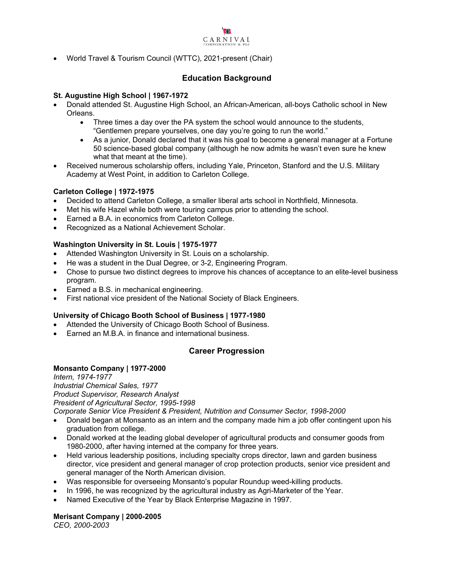

World Travel & Tourism Council (WTTC), 2021-present (Chair)

## **Education Background**

#### **St. Augustine High School | 1967-1972**

- Donald attended St. Augustine High School, an African-American, all-boys Catholic school in New Orleans.
	- Three times a day over the PA system the school would announce to the students, "Gentlemen prepare yourselves, one day you're going to run the world."
	- As a junior, Donald declared that it was his goal to become a general manager at a Fortune 50 science-based global company (although he now admits he wasn't even sure he knew what that meant at the time).
- Received numerous scholarship offers, including Yale, Princeton, Stanford and the U.S. Military Academy at West Point, in addition to Carleton College.

### **Carleton College | 1972-1975**

- Decided to attend Carleton College, a smaller liberal arts school in Northfield, Minnesota.
- Met his wife Hazel while both were touring campus prior to attending the school.
- Earned a B.A. in economics from Carleton College.
- Recognized as a National Achievement Scholar.

#### **Washington University in St. Louis | 1975-1977**

- Attended Washington University in St. Louis on a scholarship.
- He was a student in the Dual Degree, or 3-2, Engineering Program.
- Chose to pursue two distinct degrees to improve his chances of acceptance to an elite-level business program.
- Earned a B.S. in mechanical engineering.
- First national vice president of the National Society of Black Engineers.

#### **University of Chicago Booth School of Business | 1977-1980**

- Attended the University of Chicago Booth School of Business.
- Earned an M.B.A. in finance and international business.

### **Career Progression**

### **Monsanto Company | 1977-2000**

*Intern, 1974-1977 Industrial Chemical Sales, 1977 Product Supervisor, Research Analyst President of Agricultural Sector, 1995-1998 Corporate Senior Vice President & President, Nutrition and Consumer Sector, 1998-2000* 

- Donald began at Monsanto as an intern and the company made him a job offer contingent upon his graduation from college.
- Donald worked at the leading global developer of agricultural products and consumer goods from 1980-2000, after having interned at the company for three years.
- Held various leadership positions, including specialty crops director, lawn and garden business director, vice president and general manager of crop protection products, senior vice president and general manager of the North American division.
- Was responsible for overseeing Monsanto's popular Roundup weed-killing products.
- In 1996, he was recognized by the agricultural industry as Agri-Marketer of the Year.
- Named Executive of the Year by Black Enterprise Magazine in 1997.

**Merisant Company | 2000-2005**  *CEO, 2000-2003*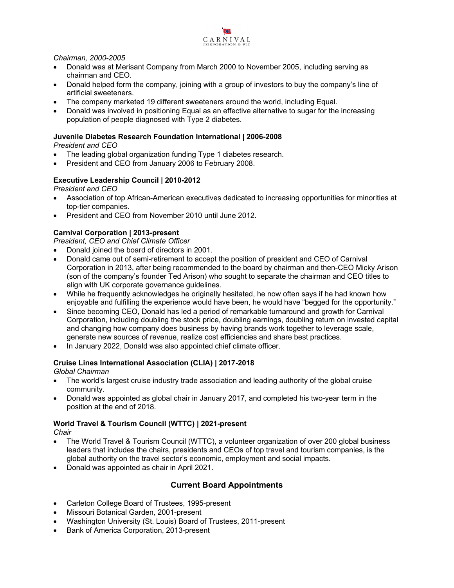

*Chairman, 2000-2005* 

- Donald was at Merisant Company from March 2000 to November 2005, including serving as chairman and CEO.
- Donald helped form the company, joining with a group of investors to buy the company's line of artificial sweeteners.
- The company marketed 19 different sweeteners around the world, including Equal.
- Donald was involved in positioning Equal as an effective alternative to sugar for the increasing population of people diagnosed with Type 2 diabetes.

#### **Juvenile Diabetes Research Foundation International | 2006-2008**  *President and CEO*

- The leading global organization funding Type 1 diabetes research.
- President and CEO from January 2006 to February 2008.

### **Executive Leadership Council | 2010-2012**

*President and CEO* 

- Association of top African-American executives dedicated to increasing opportunities for minorities at top-tier companies.
- President and CEO from November 2010 until June 2012.

#### **Carnival Corporation | 2013-present**

*President, CEO and Chief Climate Officer* 

- Donald joined the board of directors in 2001.
- Donald came out of semi-retirement to accept the position of president and CEO of Carnival Corporation in 2013, after being recommended to the board by chairman and then-CEO Micky Arison (son of the company's founder Ted Arison) who sought to separate the chairman and CEO titles to align with UK corporate governance guidelines.
- While he frequently acknowledges he originally hesitated, he now often says if he had known how enjoyable and fulfilling the experience would have been, he would have "begged for the opportunity."
- Since becoming CEO, Donald has led a period of remarkable turnaround and growth for Carnival Corporation, including doubling the stock price, doubling earnings, doubling return on invested capital and changing how company does business by having brands work together to leverage scale, generate new sources of revenue, realize cost efficiencies and share best practices.
- In January 2022, Donald was also appointed chief climate officer.

#### **Cruise Lines International Association (CLIA) | 2017-2018**

*Global Chairman* 

- The world's largest cruise industry trade association and leading authority of the global cruise community.
- Donald was appointed as global chair in January 2017, and completed his two-year term in the position at the end of 2018.

### **World Travel & Tourism Council (WTTC) | 2021-present**

*Chair* 

- The World Travel & Tourism Council (WTTC), a volunteer organization of over 200 global business leaders that includes the chairs, presidents and CEOs of top travel and tourism companies, is the global authority on the travel sector's economic, employment and social impacts.
- Donald was appointed as chair in April 2021.

### **Current Board Appointments**

- Carleton College Board of Trustees, 1995-present
- Missouri Botanical Garden, 2001-present
- Washington University (St. Louis) Board of Trustees, 2011-present
- Bank of America Corporation, 2013-present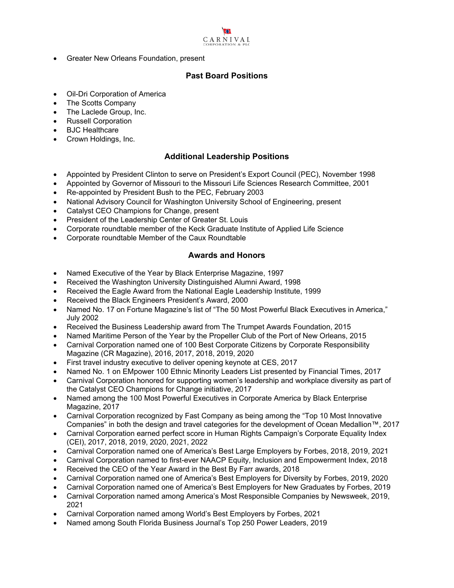# $\Omega$ CARNIVAL

Greater New Orleans Foundation, present

## **Past Board Positions**

- Oil-Dri Corporation of America
- The Scotts Company
- The Laclede Group, Inc.
- Russell Corporation
- BJC Healthcare
- Crown Holdings, Inc.

## **Additional Leadership Positions**

- Appointed by President Clinton to serve on President's Export Council (PEC), November 1998
- Appointed by Governor of Missouri to the Missouri Life Sciences Research Committee, 2001
- Re-appointed by President Bush to the PEC, February 2003
- National Advisory Council for Washington University School of Engineering, present
- Catalyst CEO Champions for Change, present
- President of the Leadership Center of Greater St. Louis
- Corporate roundtable member of the Keck Graduate Institute of Applied Life Science
- Corporate roundtable Member of the Caux Roundtable

## **Awards and Honors**

- Named Executive of the Year by Black Enterprise Magazine, 1997
- Received the Washington University Distinguished Alumni Award, 1998
- Received the Eagle Award from the National Eagle Leadership Institute, 1999
- Received the Black Engineers President's Award, 2000
- Named No. 17 on Fortune Magazine's list of "The 50 Most Powerful Black Executives in America," July 2002
- Received the Business Leadership award from The Trumpet Awards Foundation, 2015
- Named Maritime Person of the Year by the Propeller Club of the Port of New Orleans, 2015
- Carnival Corporation named one of 100 Best Corporate Citizens by Corporate Responsibility Magazine (CR Magazine), 2016, 2017, 2018, 2019, 2020
- First travel industry executive to deliver opening keynote at CES, 2017
- Named No. 1 on EMpower 100 Ethnic Minority Leaders List presented by Financial Times, 2017
- Carnival Corporation honored for supporting women's leadership and workplace diversity as part of the Catalyst CEO Champions for Change initiative, 2017
- Named among the 100 Most Powerful Executives in Corporate America by Black Enterprise Magazine, 2017
- Carnival Corporation recognized by Fast Company as being among the "Top 10 Most Innovative Companies" in both the design and travel categories for the development of Ocean Medallion™, 2017
- Carnival Corporation earned perfect score in Human Rights Campaign's Corporate Equality Index (CEI), 2017, 2018, 2019, 2020, 2021, 2022
- Carnival Corporation named one of America's Best Large Employers by Forbes, 2018, 2019, 2021
- Carnival Corporation named to first-ever NAACP Equity, Inclusion and Empowerment Index, 2018
- Received the CEO of the Year Award in the Best By Farr awards, 2018
- Carnival Corporation named one of America's Best Employers for Diversity by Forbes, 2019, 2020
- Carnival Corporation named one of America's Best Employers for New Graduates by Forbes, 2019
- Carnival Corporation named among America's Most Responsible Companies by Newsweek, 2019, 2021
- Carnival Corporation named among World's Best Employers by Forbes, 2021
- Named among South Florida Business Journal's Top 250 Power Leaders, 2019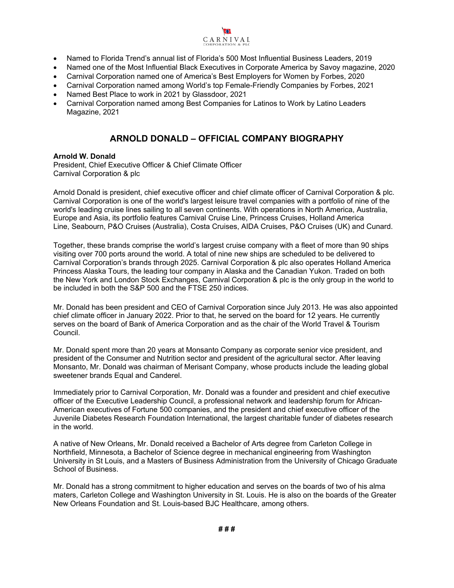

- Named to Florida Trend's annual list of Florida's 500 Most Influential Business Leaders, 2019
- Named one of the Most Influential Black Executives in Corporate America by Savoy magazine, 2020
- Carnival Corporation named one of America's Best Employers for Women by Forbes, 2020
- Carnival Corporation named among World's top Female-Friendly Companies by Forbes, 2021
- Named Best Place to work in 2021 by Glassdoor, 2021
- Carnival Corporation named among Best Companies for Latinos to Work by Latino Leaders Magazine, 2021

# **ARNOLD DONALD – OFFICIAL COMPANY BIOGRAPHY**

#### **Arnold W. Donald**

President, Chief Executive Officer & Chief Climate Officer Carnival Corporation & plc

Arnold Donald is president, chief executive officer and chief climate officer of Carnival Corporation & plc. Carnival Corporation is one of the world's largest leisure travel companies with a portfolio of nine of the world's leading cruise lines sailing to all seven continents. With operations in North America, Australia, Europe and Asia, its portfolio features Carnival Cruise Line, Princess Cruises, Holland America Line, Seabourn, P&O Cruises (Australia), Costa Cruises, AIDA Cruises, P&O Cruises (UK) and Cunard.

Together, these brands comprise the world's largest cruise company with a fleet of more than 90 ships visiting over 700 ports around the world. A total of nine new ships are scheduled to be delivered to Carnival Corporation's brands through 2025. Carnival Corporation & plc also operates Holland America Princess Alaska Tours, the leading tour company in Alaska and the Canadian Yukon. Traded on both the New York and London Stock Exchanges, Carnival Corporation & plc is the only group in the world to be included in both the S&P 500 and the FTSE 250 indices.

Mr. Donald has been president and CEO of Carnival Corporation since July 2013. He was also appointed chief climate officer in January 2022. Prior to that, he served on the board for 12 years. He currently serves on the board of Bank of America Corporation and as the chair of the World Travel & Tourism Council.

Mr. Donald spent more than 20 years at Monsanto Company as corporate senior vice president, and president of the Consumer and Nutrition sector and president of the agricultural sector. After leaving Monsanto, Mr. Donald was chairman of Merisant Company, whose products include the leading global sweetener brands Equal and Canderel.

Immediately prior to Carnival Corporation, Mr. Donald was a founder and president and chief executive officer of the Executive Leadership Council, a professional network and leadership forum for African-American executives of Fortune 500 companies, and the president and chief executive officer of the Juvenile Diabetes Research Foundation International, the largest charitable funder of diabetes research in the world.

A native of New Orleans, Mr. Donald received a Bachelor of Arts degree from Carleton College in Northfield, Minnesota, a Bachelor of Science degree in mechanical engineering from Washington University in St Louis, and a Masters of Business Administration from the University of Chicago Graduate School of Business.

Mr. Donald has a strong commitment to higher education and serves on the boards of two of his alma maters, Carleton College and Washington University in St. Louis. He is also on the boards of the Greater New Orleans Foundation and St. Louis-based BJC Healthcare, among others.